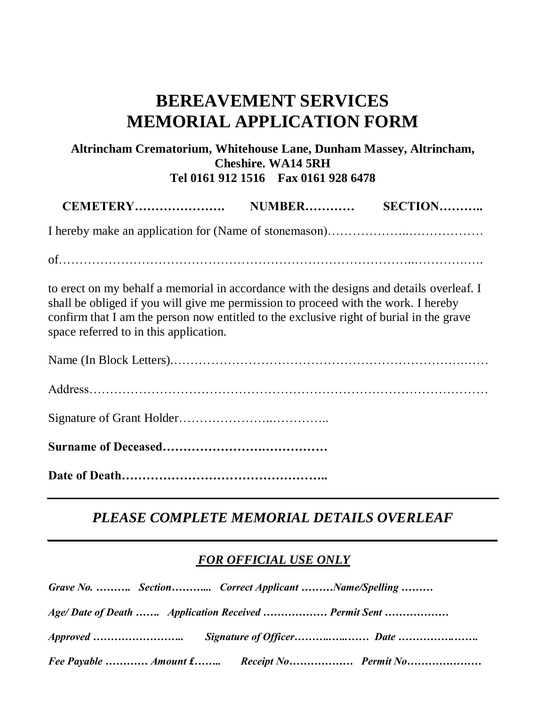# **BEREAVEMENT SERVICES MEMORIAL APPLICATION FORM**

### **Altrincham Crematorium, Whitehouse Lane, Dunham Massey, Altrincham, Cheshire. WA14 5RH Tel 0161 912 1516 Fax 0161 928 6478**

of…………………………………………………………………………..………….….

to erect on my behalf a memorial in accordance with the designs and details overleaf. I shall be obliged if you will give me permission to proceed with the work. I hereby confirm that I am the person now entitled to the exclusive right of burial in the grave space referred to in this application.

Name (In Block Letters).…………………………………………………………….…… Address…………………………………………………………………………………… Signature of Grant Holder…………………..…………..

**Surname of Deceased…………………….……………** 

**Date of Death…………………………………………..**

## *PLEASE COMPLETE MEMORIAL DETAILS OVERLEAF*

*\_\_\_\_\_\_\_\_\_\_\_\_\_\_\_\_\_\_\_\_\_\_\_\_\_\_\_\_\_\_\_\_\_\_\_\_\_\_\_\_\_\_\_\_\_\_\_\_\_\_\_\_\_\_\_\_\_\_\_\_\_\_\_*

#### *FOR OFFICIAL USE ONLY*

| Grave No.  Section Correct Applicant Name/Spelling   |                                            |
|------------------------------------------------------|--------------------------------------------|
| Age/Date of Death  Application Received  Permit Sent |                                            |
|                                                      |                                            |
|                                                      | Fee Payable  Amount £ Receipt No Permit No |